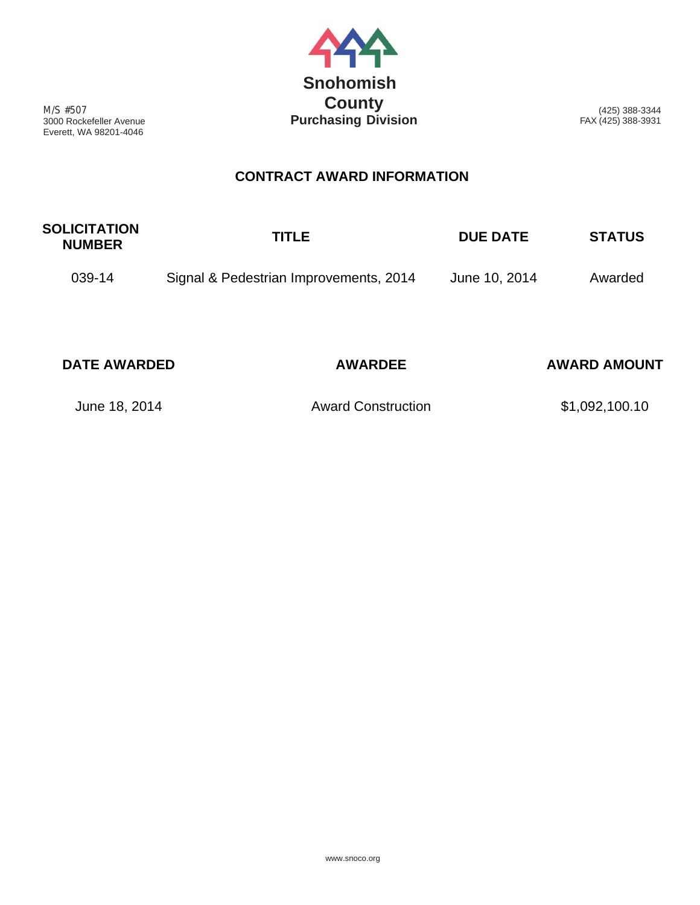

M/S #507 3000 Rockefeller Avenue Everett, WA 98201-4046

(425) 388-3344 FAX (425) 388-3931

## **CONTRACT AWARD INFORMATION**

| <b>SOLICITATION</b><br><b>NUMBER</b> | TITLE                                  | <b>DUE DATE</b> | <b>STATUS</b> |
|--------------------------------------|----------------------------------------|-----------------|---------------|
| 039-14                               | Signal & Pedestrian Improvements, 2014 | June 10, 2014   | Awarded       |

| <b>DATE AWARDED</b> | <b>AWARDEE</b>            | <b>AWARD AMOUNT</b> |
|---------------------|---------------------------|---------------------|
| June 18, 2014       | <b>Award Construction</b> | \$1,092,100.10      |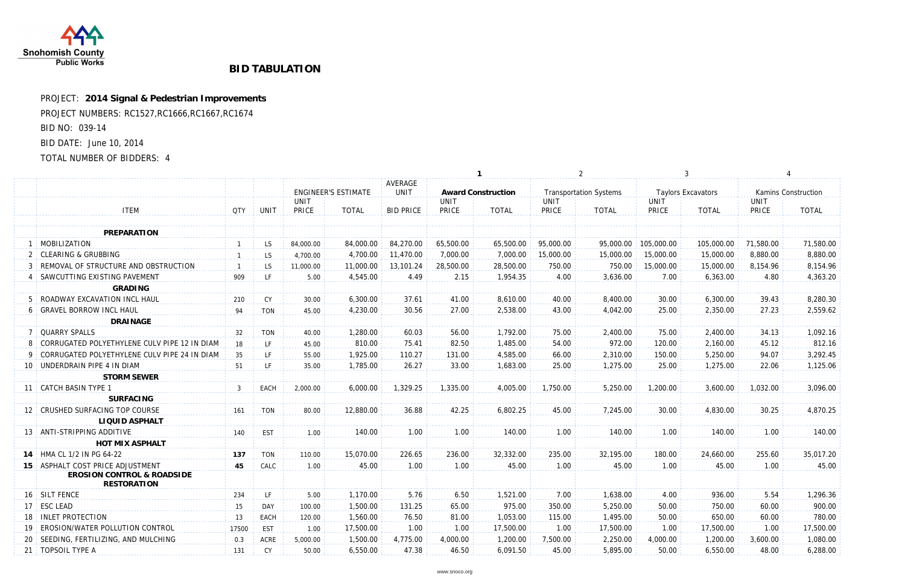

## **BID TABULATION**

PROJECT: **2014 Signal & Pedestrian Improvements** PROJECT NUMBERS: RC1527,RC1666,RC1667,RC1674 BID NO: 039-14 BID DATE: June 10, 2014 TOTAL NUMBER OF BIDDERS: 4

|                                                             |                |             |             | <b>ENGINEER'S ESTIMATE</b> | AVERAGE<br>UNIT  | Aw         |
|-------------------------------------------------------------|----------------|-------------|-------------|----------------------------|------------------|------------|
|                                                             |                |             | <b>UNIT</b> |                            |                  | <b>UNI</b> |
| <b>ITEM</b>                                                 | <b>QTY</b>     | <b>UNIT</b> | PRICE       | <b>TOTAL</b>               | <b>BID PRICE</b> | <b>PRI</b> |
| <b>PREPARATION</b>                                          |                |             |             |                            |                  |            |
| 1 MOBILIZATION                                              |                | LS.         | 84,000.00   | 84,000.00                  | 84,270.00        | 65,50      |
| 2 CLEARING & GRUBBING                                       | $\overline{1}$ | LS.         | 4,700.00    | 4,700.00                   | 11,470.00        | 7,00       |
| 3 REMOVAL OF STRUCTURE AND OBSTRUCTION                      | $\overline{1}$ | LS.         | 11,000.00   | 11,000.00                  | 13,101.24        | 28,50      |
| 4   SAWCUTTING EXISTING PAVEMENT                            | 909            | LF.         | 5.00        | 4,545.00                   | 4.49             |            |
| <b>GRADING</b>                                              |                |             |             |                            |                  |            |
| 5 ROADWAY EXCAVATION INCL HAUL                              | 210            | CY          | 30.00       | 6,300.00                   | 37.61            |            |
| 6 GRAVEL BORROW INCL HAUL                                   | 94             | <b>TON</b>  | 45.00       | 4,230.00                   | 30.56            |            |
| <b>DRAINAGE</b>                                             |                |             |             |                            |                  |            |
| 7 OUARRY SPALLS                                             | 32             | <b>TON</b>  | 40.00       | 1,280.00                   | 60.03            |            |
| 8 CORRUGATED POLYETHYLENE CULV PIPE 12 IN DIAM              | 18             | LF.         | 45.00       | 810.00                     | 75.41            |            |
| 9 CORRUGATED POLYETHYLENE CULV PIPE 24 IN DIAM              | 35             | LF.         | 55.00       | 1,925.00                   | 110.27           |            |
| 10 UNDERDRAIN PIPE 4 IN DIAM                                | 51             | LF.         | 35.00       | 1,785.00                   | 26.27            |            |
| <b>STORM SEWER</b>                                          |                |             |             |                            |                  |            |
| 11 CATCH BASIN TYPE 1                                       | $\mathfrak{Z}$ | EACH        | 2,000.00    | 6,000.00                   | 1,329.25         | 1,33       |
| <b>SURFACING</b>                                            |                |             |             |                            |                  |            |
| 12 CRUSHED SURFACING TOP COURSE                             | 161            | <b>TON</b>  | 80.00       | 12,880.00                  | 36.88            |            |
| <b>LIQUID ASPHALT</b>                                       |                |             |             |                            |                  |            |
| 13   ANTI-STRIPPING ADDITIVE                                | 140            | <b>EST</b>  | 1.00        | 140.00                     | 1.00             |            |
| <b>HOT MIX ASPHALT</b>                                      |                |             |             |                            |                  |            |
| 14 HMA CL 1/2 IN PG 64-22                                   | 137            | <b>TON</b>  | 110.00      | 15,070.00                  | 226.65           | 23         |
| 15 ASPHALT COST PRICE ADJUSTMENT                            | 45             | CALC        | 1.00        | 45.00                      | 1.00             |            |
| <b>EROSION CONTROL &amp; ROADSIDE</b><br><b>RESTORATION</b> |                |             |             |                            |                  |            |
| 16 SILT FENCE                                               | 234            | LF.         | 5.00        | 1,170.00                   | 5.76             |            |
| 17 ESC LEAD                                                 | 15             | DAY         | 100.00      | 1,500.00                   | 131.25           |            |
| 18   INLET PROTECTION                                       | 13             | EACH        | 120.00      | 1,560.00                   | 76.50            |            |
| 19 EROSION/WATER POLLUTION CONTROL                          | 17500          | EST         | 1.00        | 17,500.00                  | 1.00             |            |
| 20 SEEDING, FERTILIZING, AND MULCHING                       | 0.3            | <b>ACRE</b> | 5,000.00    | 1,500.00                   | 4,775.00         | 4,00       |
| 21   TOPSOIL TYPE A                                         | 131            | CY          | 50.00       | 6,550.00                   | 47.38            |            |
|                                                             |                |             |             |                            |                  |            |